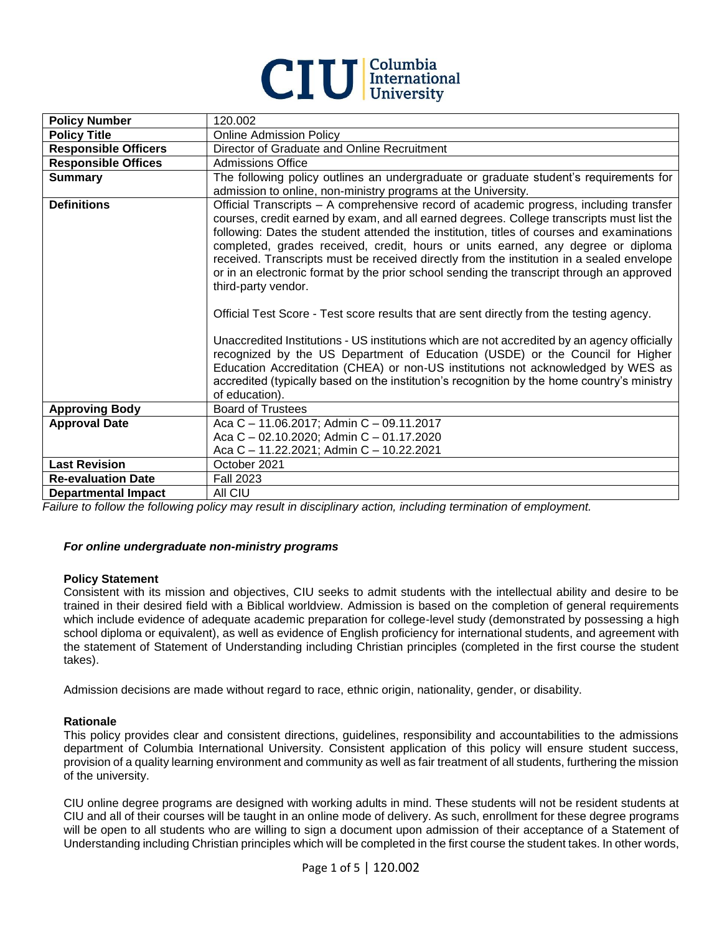

| 120.002                                                                                                                                                                                                                                                                                                                                                                                                                                                                                                                                                                                                                                                                                                                                                                                                                                                                                                                                                                                                                                               |
|-------------------------------------------------------------------------------------------------------------------------------------------------------------------------------------------------------------------------------------------------------------------------------------------------------------------------------------------------------------------------------------------------------------------------------------------------------------------------------------------------------------------------------------------------------------------------------------------------------------------------------------------------------------------------------------------------------------------------------------------------------------------------------------------------------------------------------------------------------------------------------------------------------------------------------------------------------------------------------------------------------------------------------------------------------|
| <b>Online Admission Policy</b>                                                                                                                                                                                                                                                                                                                                                                                                                                                                                                                                                                                                                                                                                                                                                                                                                                                                                                                                                                                                                        |
| Director of Graduate and Online Recruitment                                                                                                                                                                                                                                                                                                                                                                                                                                                                                                                                                                                                                                                                                                                                                                                                                                                                                                                                                                                                           |
| <b>Admissions Office</b>                                                                                                                                                                                                                                                                                                                                                                                                                                                                                                                                                                                                                                                                                                                                                                                                                                                                                                                                                                                                                              |
| The following policy outlines an undergraduate or graduate student's requirements for<br>admission to online, non-ministry programs at the University.                                                                                                                                                                                                                                                                                                                                                                                                                                                                                                                                                                                                                                                                                                                                                                                                                                                                                                |
| Official Transcripts - A comprehensive record of academic progress, including transfer<br>courses, credit earned by exam, and all earned degrees. College transcripts must list the<br>following: Dates the student attended the institution, titles of courses and examinations<br>completed, grades received, credit, hours or units earned, any degree or diploma<br>received. Transcripts must be received directly from the institution in a sealed envelope<br>or in an electronic format by the prior school sending the transcript through an approved<br>third-party vendor.<br>Official Test Score - Test score results that are sent directly from the testing agency.<br>Unaccredited Institutions - US institutions which are not accredited by an agency officially<br>recognized by the US Department of Education (USDE) or the Council for Higher<br>Education Accreditation (CHEA) or non-US institutions not acknowledged by WES as<br>accredited (typically based on the institution's recognition by the home country's ministry |
| of education).                                                                                                                                                                                                                                                                                                                                                                                                                                                                                                                                                                                                                                                                                                                                                                                                                                                                                                                                                                                                                                        |
| <b>Board of Trustees</b>                                                                                                                                                                                                                                                                                                                                                                                                                                                                                                                                                                                                                                                                                                                                                                                                                                                                                                                                                                                                                              |
| Aca C - 11.06.2017; Admin C - 09.11.2017<br>Aca C - 02.10.2020; Admin C - 01.17.2020                                                                                                                                                                                                                                                                                                                                                                                                                                                                                                                                                                                                                                                                                                                                                                                                                                                                                                                                                                  |
| Aca C - 11.22.2021; Admin C - 10.22.2021                                                                                                                                                                                                                                                                                                                                                                                                                                                                                                                                                                                                                                                                                                                                                                                                                                                                                                                                                                                                              |
| October 2021                                                                                                                                                                                                                                                                                                                                                                                                                                                                                                                                                                                                                                                                                                                                                                                                                                                                                                                                                                                                                                          |
| <b>Fall 2023</b>                                                                                                                                                                                                                                                                                                                                                                                                                                                                                                                                                                                                                                                                                                                                                                                                                                                                                                                                                                                                                                      |
| All CIU                                                                                                                                                                                                                                                                                                                                                                                                                                                                                                                                                                                                                                                                                                                                                                                                                                                                                                                                                                                                                                               |
|                                                                                                                                                                                                                                                                                                                                                                                                                                                                                                                                                                                                                                                                                                                                                                                                                                                                                                                                                                                                                                                       |

*Failure to follow the following policy may result in disciplinary action, including termination of employment.*

#### *For online undergraduate non-ministry programs*

#### **Policy Statement**

Consistent with its mission and objectives, CIU seeks to admit students with the intellectual ability and desire to be trained in their desired field with a Biblical worldview. Admission is based on the completion of general requirements which include evidence of adequate academic preparation for college-level study (demonstrated by possessing a high school diploma or equivalent), as well as evidence of English proficiency for international students, and agreement with the statement of Statement of Understanding including Christian principles (completed in the first course the student takes).

Admission decisions are made without regard to race, ethnic origin, nationality, gender, or disability.

#### **Rationale**

This policy provides clear and consistent directions, guidelines, responsibility and accountabilities to the admissions department of Columbia International University. Consistent application of this policy will ensure student success, provision of a quality learning environment and community as well as fair treatment of all students, furthering the mission of the university.

CIU online degree programs are designed with working adults in mind. These students will not be resident students at CIU and all of their courses will be taught in an online mode of delivery. As such, enrollment for these degree programs will be open to all students who are willing to sign a document upon admission of their acceptance of a Statement of Understanding including Christian principles which will be completed in the first course the student takes. In other words,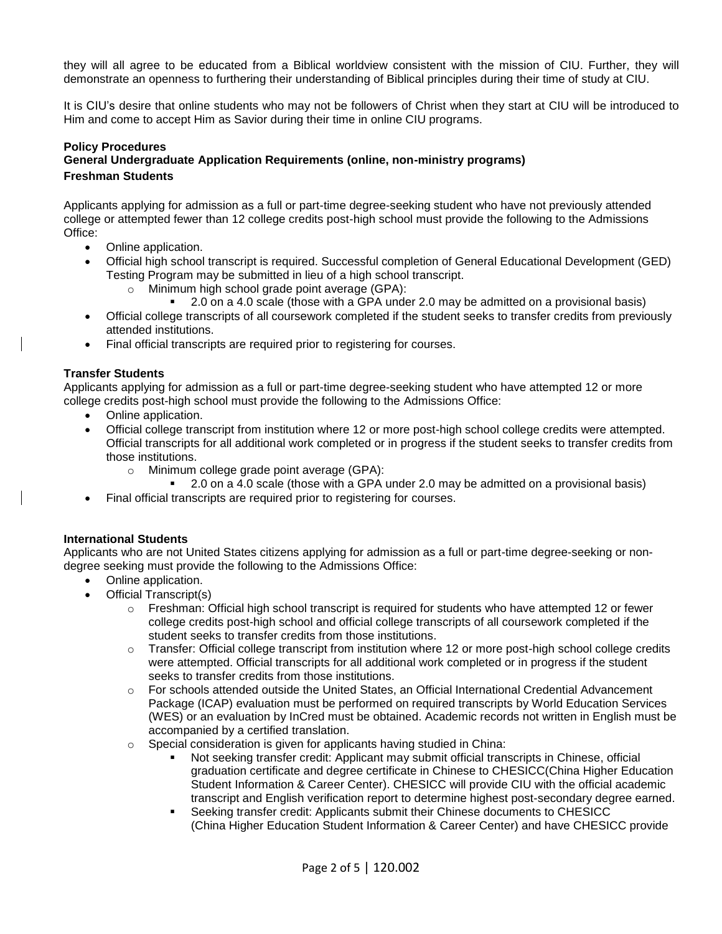they will all agree to be educated from a Biblical worldview consistent with the mission of CIU. Further, they will demonstrate an openness to furthering their understanding of Biblical principles during their time of study at CIU.

It is CIU's desire that online students who may not be followers of Christ when they start at CIU will be introduced to Him and come to accept Him as Savior during their time in online CIU programs.

# **Policy Procedures**

# **General Undergraduate Application Requirements (online, non-ministry programs) Freshman Students**

Applicants applying for admission as a full or part-time degree-seeking student who have not previously attended college or attempted fewer than 12 college credits post-high school must provide the following to the Admissions Office:

- Online application.
- Official high school transcript is required. Successful completion of General Educational Development (GED) Testing Program may be submitted in lieu of a high school transcript.
	- o Minimum high school grade point average (GPA):
		- 2.0 on a 4.0 scale (those with a GPA under 2.0 may be admitted on a provisional basis)
- Official college transcripts of all coursework completed if the student seeks to transfer credits from previously attended institutions.
- Final official transcripts are required prior to registering for courses.

# **Transfer Students**

Applicants applying for admission as a full or part-time degree-seeking student who have attempted 12 or more college credits post-high school must provide the following to the Admissions Office:

- Online application.
- Official college transcript from institution where 12 or more post-high school college credits were attempted. Official transcripts for all additional work completed or in progress if the student seeks to transfer credits from those institutions.
	- o Minimum college grade point average (GPA):
	- 2.0 on a 4.0 scale (those with a GPA under 2.0 may be admitted on a provisional basis)
- Final official transcripts are required prior to registering for courses.

#### **International Students**

Applicants who are not United States citizens applying for admission as a full or part-time degree-seeking or nondegree seeking must provide the following to the Admissions Office:

- Online application.
- Official Transcript(s)
	- o Freshman: Official high school transcript is required for students who have attempted 12 or fewer college credits post-high school and official college transcripts of all coursework completed if the student seeks to transfer credits from those institutions.
	- o Transfer: Official college transcript from institution where 12 or more post-high school college credits were attempted. Official transcripts for all additional work completed or in progress if the student seeks to transfer credits from those institutions.
	- o For schools attended outside the United States, an Official International Credential Advancement Package (ICAP) evaluation must be performed on required transcripts by World Education Services (WES) or an evaluation by InCred must be obtained. Academic records not written in English must be accompanied by a certified translation.
	- $\circ$  Special consideration is given for applicants having studied in China:
		- Not seeking transfer credit: Applicant may submit official transcripts in Chinese, official graduation certificate and degree certificate in Chinese to CHESICC(China Higher Education Student Information & Career Center). CHESICC will provide CIU with the official academic transcript and English verification report to determine highest post-secondary degree earned.
		- Seeking transfer credit: Applicants submit their Chinese documents to CHESICC (China Higher Education Student Information & Career Center) and have CHESICC provide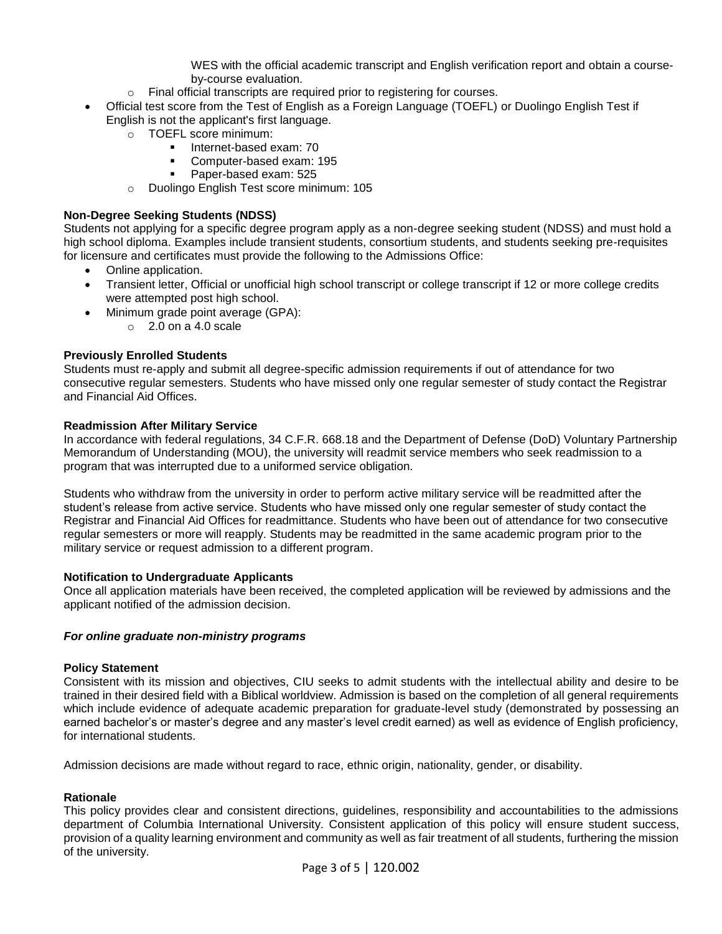WES with the official academic transcript and English verification report and obtain a courseby-course evaluation.

- o Final official transcripts are required prior to registering for courses.
- Official test score from the Test of English as a Foreign Language (TOEFL) or Duolingo English Test if English is not the applicant's first language.
	- o TOEFL score minimum:
		- Internet-based exam: 70
		- Computer-based exam: 195
		- Paper-based exam: 525
	- o Duolingo English Test score minimum: 105

# **Non-Degree Seeking Students (NDSS)**

Students not applying for a specific degree program apply as a non-degree seeking student (NDSS) and must hold a high school diploma. Examples include transient students, consortium students, and students seeking pre-requisites for licensure and certificates must provide the following to the Admissions Office:

- Online application.
- Transient letter, Official or unofficial high school transcript or college transcript if 12 or more college credits were attempted post high school.
- Minimum grade point average (GPA):
	- o 2.0 on a 4.0 scale

# **Previously Enrolled Students**

Students must re-apply and submit all degree-specific admission requirements if out of attendance for two consecutive regular semesters. Students who have missed only one regular semester of study contact the Registrar and Financial Aid Offices.

# **Readmission After Military Service**

In accordance with federal regulations, 34 C.F.R. 668.18 and the Department of Defense (DoD) Voluntary Partnership Memorandum of Understanding (MOU), the university will readmit service members who seek readmission to a program that was interrupted due to a uniformed service obligation.

Students who withdraw from the university in order to perform active military service will be readmitted after the student's release from active service. Students who have missed only one regular semester of study contact the Registrar and Financial Aid Offices for readmittance. Students who have been out of attendance for two consecutive regular semesters or more will reapply. Students may be readmitted in the same academic program prior to the military service or request admission to a different program.

#### **Notification to Undergraduate Applicants**

Once all application materials have been received, the completed application will be reviewed by admissions and the applicant notified of the admission decision.

#### *For online graduate non-ministry programs*

#### **Policy Statement**

Consistent with its mission and objectives, CIU seeks to admit students with the intellectual ability and desire to be trained in their desired field with a Biblical worldview. Admission is based on the completion of all general requirements which include evidence of adequate academic preparation for graduate-level study (demonstrated by possessing an earned bachelor's or master's degree and any master's level credit earned) as well as evidence of English proficiency, for international students.

Admission decisions are made without regard to race, ethnic origin, nationality, gender, or disability.

#### **Rationale**

This policy provides clear and consistent directions, guidelines, responsibility and accountabilities to the admissions department of Columbia International University. Consistent application of this policy will ensure student success, provision of a quality learning environment and community as well as fair treatment of all students, furthering the mission of the university.

Page 3 of 5 | 120.002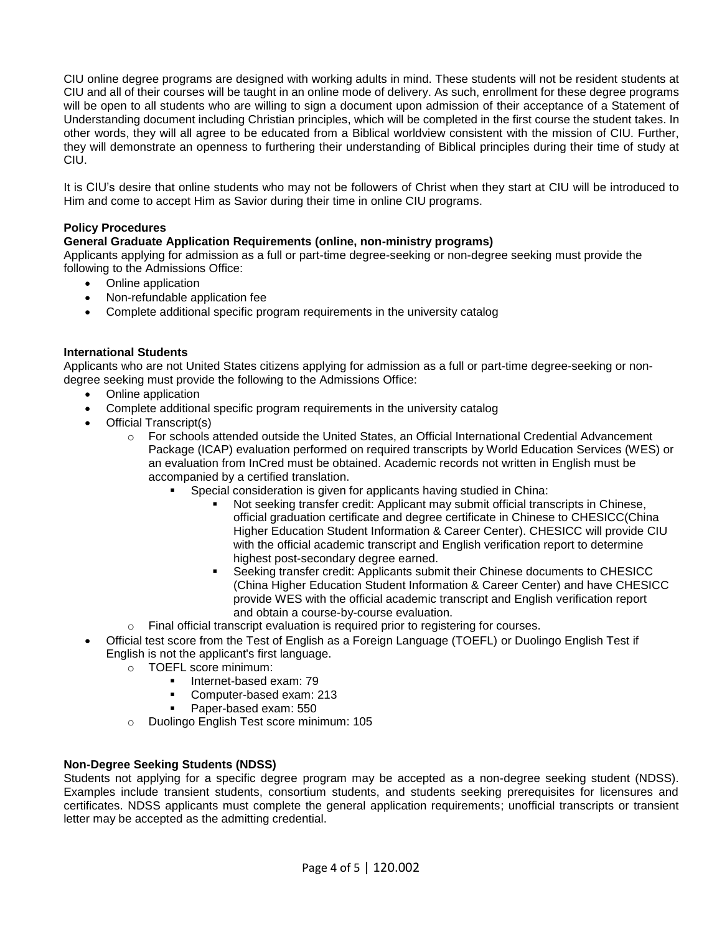CIU online degree programs are designed with working adults in mind. These students will not be resident students at CIU and all of their courses will be taught in an online mode of delivery. As such, enrollment for these degree programs will be open to all students who are willing to sign a document upon admission of their acceptance of a Statement of Understanding document including Christian principles, which will be completed in the first course the student takes. In other words, they will all agree to be educated from a Biblical worldview consistent with the mission of CIU. Further, they will demonstrate an openness to furthering their understanding of Biblical principles during their time of study at CIU.

It is CIU's desire that online students who may not be followers of Christ when they start at CIU will be introduced to Him and come to accept Him as Savior during their time in online CIU programs.

# **Policy Procedures**

# **General Graduate Application Requirements (online, non-ministry programs)**

Applicants applying for admission as a full or part-time degree-seeking or non-degree seeking must provide the following to the Admissions Office:

- Online application
- Non-refundable application fee
- Complete additional specific program requirements in the university catalog

# **International Students**

Applicants who are not United States citizens applying for admission as a full or part-time degree-seeking or nondegree seeking must provide the following to the Admissions Office:

- Online application
- Complete additional specific program requirements in the university catalog
	- Official Transcript(s)
		- o For schools attended outside the United States, an Official International Credential Advancement Package (ICAP) evaluation performed on required transcripts by World Education Services (WES) or an evaluation from InCred must be obtained. Academic records not written in English must be accompanied by a certified translation.
			- Special consideration is given for applicants having studied in China:
				- Not seeking transfer credit: Applicant may submit official transcripts in Chinese, official graduation certificate and degree certificate in Chinese to CHESICC(China Higher Education Student Information & Career Center). CHESICC will provide CIU with the official academic transcript and English verification report to determine highest post-secondary degree earned.
				- Seeking transfer credit: Applicants submit their Chinese documents to CHESICC (China Higher Education Student Information & Career Center) and have CHESICC provide WES with the official academic transcript and English verification report and obtain a course-by-course evaluation.
		- $\circ$  Final official transcript evaluation is required prior to registering for courses.
- Official test score from the Test of English as a Foreign Language (TOEFL) or Duolingo English Test if English is not the applicant's first language.
	- o TOEFL score minimum:
		- Internet-based exam: 79
		- Computer-based exam: 213
		- Paper-based exam: 550
	- o Duolingo English Test score minimum: 105

#### **Non-Degree Seeking Students (NDSS)**

Students not applying for a specific degree program may be accepted as a non-degree seeking student (NDSS). Examples include transient students, consortium students, and students seeking prerequisites for licensures and certificates. NDSS applicants must complete the general application requirements; unofficial transcripts or transient letter may be accepted as the admitting credential.